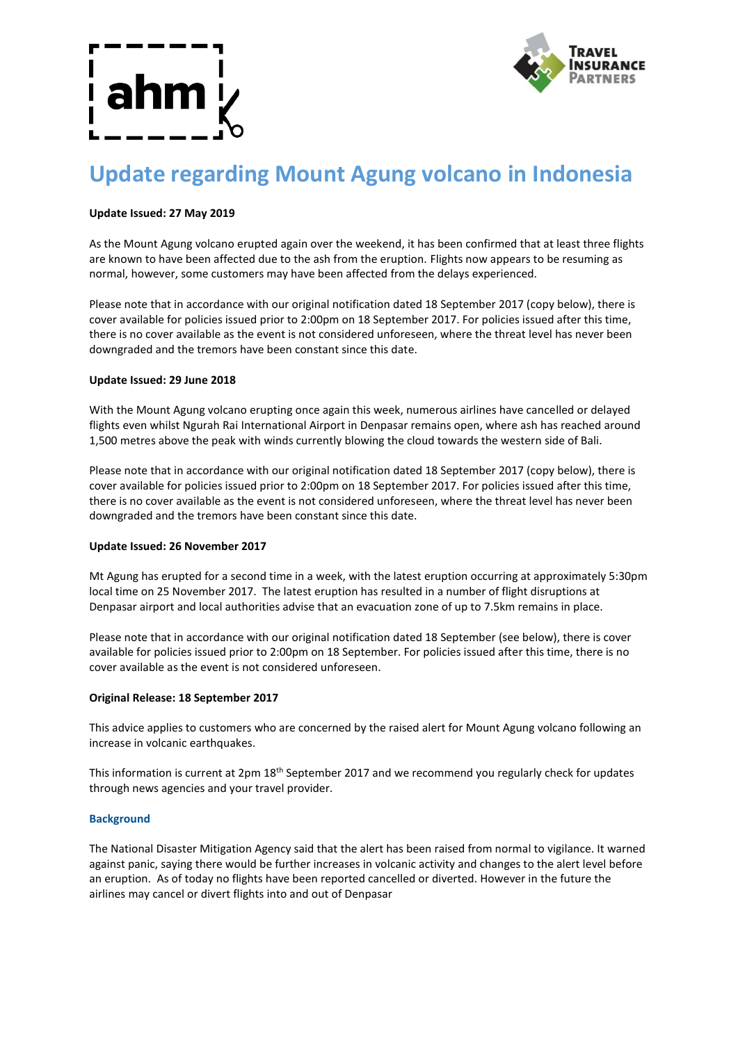

# **Update regarding Mount Agung volcano in Indonesia**

# **Update Issued: 27 May 2019**

As the Mount Agung volcano erupted again over the weekend, it has been confirmed that at least three flights are known to have been affected due to the ash from the eruption. Flights now appears to be resuming as normal, however, some customers may have been affected from the delays experienced.

Please note that in accordance with our original notification dated 18 September 2017 (copy below), there is cover available for policies issued prior to 2:00pm on 18 September 2017. For policies issued after this time, there is no cover available as the event is not considered unforeseen, where the threat level has never been downgraded and the tremors have been constant since this date.

# **Update Issued: 29 June 2018**

With the Mount Agung volcano erupting once again this week, numerous airlines have cancelled or delayed flights even whilst Ngurah Rai International Airport in Denpasar remains open, where ash has reached around 1,500 metres above the peak with winds currently blowing the cloud towards the western side of Bali.

Please note that in accordance with our original notification dated 18 September 2017 (copy below), there is cover available for policies issued prior to 2:00pm on 18 September 2017. For policies issued after this time, there is no cover available as the event is not considered unforeseen, where the threat level has never been downgraded and the tremors have been constant since this date.

# **Update Issued: 26 November 2017**

Mt Agung has erupted for a second time in a week, with the latest eruption occurring at approximately 5:30pm local time on 25 November 2017. The latest eruption has resulted in a number of flight disruptions at Denpasar airport and local authorities advise that an evacuation zone of up to 7.5km remains in place.

Please note that in accordance with our original notification dated 18 September (see below), there is cover available for policies issued prior to 2:00pm on 18 September. For policies issued after this time, there is no cover available as the event is not considered unforeseen.

# **Original Release: 18 September 2017**

This advice applies to customers who are concerned by the raised alert for Mount Agung volcano following an increase in volcanic earthquakes.

This information is current at 2pm 18<sup>th</sup> September 2017 and we recommend you regularly check for updates through news agencies and your travel provider.

# **Background**

The National Disaster Mitigation Agency said that the alert has been raised from normal to vigilance. It warned against panic, saying there would be further increases in volcanic activity and changes to the alert level before an eruption. As of today no flights have been reported cancelled or diverted. However in the future the airlines may cancel or divert flights into and out of Denpasar